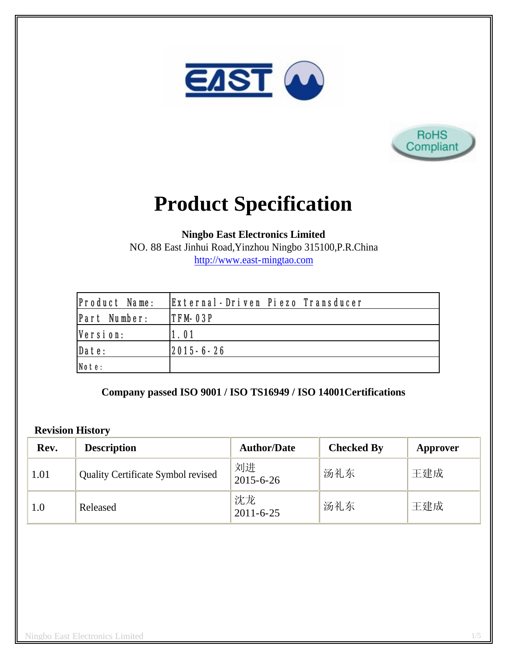



# **Product Specification**

**Ningbo East Electronics Limited**

NO. 88 East Jinhui Road,Yinzhou Ningbo 315100,P.R.China http://www.east-mingtao.com

| Product Name: | External-Driven Piezo Transducer |
|---------------|----------------------------------|
| Part Number:  | <b>ITFM-03P</b>                  |
| Version:      | 1.01                             |
| Date:         | $ 2015 - 6 - 26 $                |
| Note:         |                                  |

**Company passed ISO 9001 / ISO TS16949 / ISO 14001Certifications**

## **Revision History**

| Rev. | <b>Description</b>                        | <b>Author/Date</b>    | <b>Checked By</b> | Approver |
|------|-------------------------------------------|-----------------------|-------------------|----------|
| 1.01 | <b>Quality Certificate Symbol revised</b> | 刘进<br>$2015 - 6 - 26$ | 汤礼东               | 王建成      |
| 1.0  | Released                                  | 沈龙<br>$2011 - 6 - 25$ | 汤礼东               | 王建成      |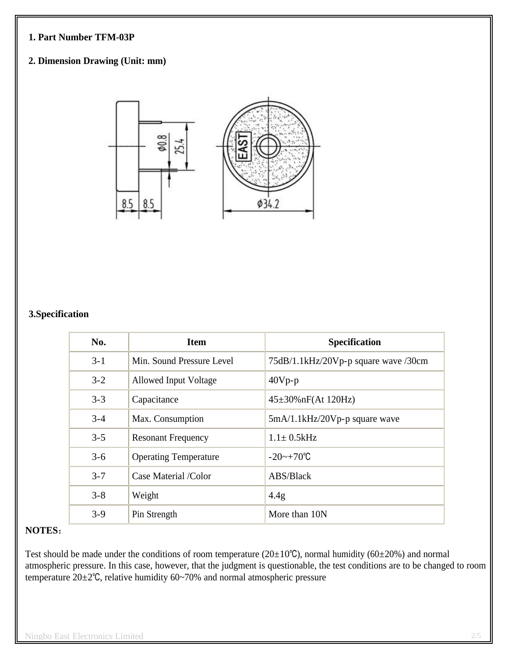### **1. Part Number TFM-03P**

## **2. Dimension Drawing (Unit: mm)**



#### **3.Specification**

| No.     | <b>Item</b>                  | <b>Specification</b>                 |
|---------|------------------------------|--------------------------------------|
| $3 - 1$ | Min. Sound Pressure Level    | 75dB/1.1kHz/20Vp-p square wave /30cm |
| $3 - 2$ | <b>Allowed Input Voltage</b> | $40Vp-p$                             |
| $3 - 3$ | Capacitance                  | $45\pm30\%$ nF(At 120Hz)             |
| $3 - 4$ | Max. Consumption             | 5mA/1.1kHz/20Vp-p square wave        |
| $3 - 5$ | <b>Resonant Frequency</b>    | $1.1 \pm 0.5$ kHz                    |
| $3 - 6$ | <b>Operating Temperature</b> | $-20$ ~ $+70^{\circ}$ C              |
| $3 - 7$ | Case Material /Color         | ABS/Black                            |
| $3 - 8$ | Weight                       | 4.4g                                 |
| $3-9$   | Pin Strength                 | More than 10N                        |

#### **NOTES**:

Test should be made under the conditions of room temperature (20±10℃), normal humidity (60±20%) and normal atmospheric pressure. In this case, however, that the judgment is questionable, the test conditions are to be changed to room temperature  $20\pm2^{\circ}$ C, relative humidity 60~70% and normal atmospheric pressure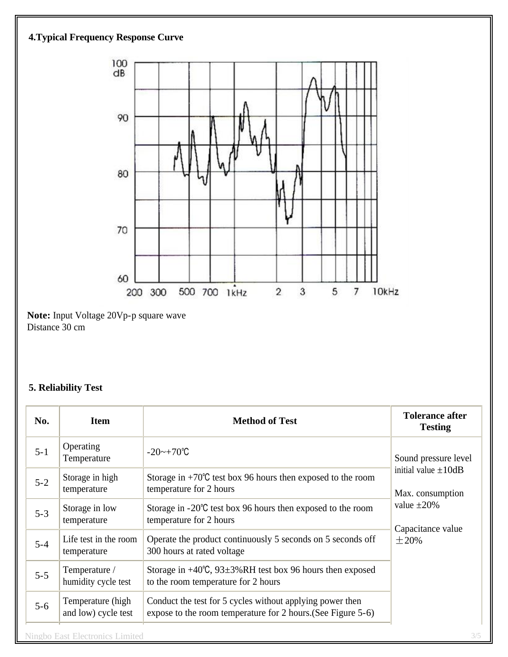

Distance 30 cm

# **5. Reliability Test**

| No.     | <b>Item</b>                              | <b>Method of Test</b>                                                                                                     | <b>Tolerance after</b><br><b>Testing</b>                                                                                     |
|---------|------------------------------------------|---------------------------------------------------------------------------------------------------------------------------|------------------------------------------------------------------------------------------------------------------------------|
| $5 - 1$ | Operating<br>Temperature                 | $-20$ ~ $+70^{\circ}$ C                                                                                                   | Sound pressure level<br>initial value $\pm 10$ dB<br>Max. consumption<br>value $\pm 20\%$<br>Capacitance value<br>$\pm 20\%$ |
| $5 - 2$ | Storage in high<br>temperature           | Storage in $+70^{\circ}$ C test box 96 hours then exposed to the room<br>temperature for 2 hours                          |                                                                                                                              |
| $5 - 3$ | Storage in low<br>temperature            | Storage in $-20^{\circ}$ C test box 96 hours then exposed to the room<br>temperature for 2 hours                          |                                                                                                                              |
| $5 - 4$ | Life test in the room<br>temperature     | Operate the product continuously 5 seconds on 5 seconds off<br>300 hours at rated voltage                                 |                                                                                                                              |
| $5 - 5$ | Temperature /<br>humidity cycle test     | Storage in $+40^{\circ}$ C, 93 $\pm$ 3%RH test box 96 hours then exposed<br>to the room temperature for 2 hours           |                                                                                                                              |
| $5 - 6$ | Temperature (high<br>and low) cycle test | Conduct the test for 5 cycles without applying power then<br>expose to the room temperature for 2 hours. (See Figure 5-6) |                                                                                                                              |
|         | <b>Ningbo East Electronics Limited</b>   |                                                                                                                           | 3/5                                                                                                                          |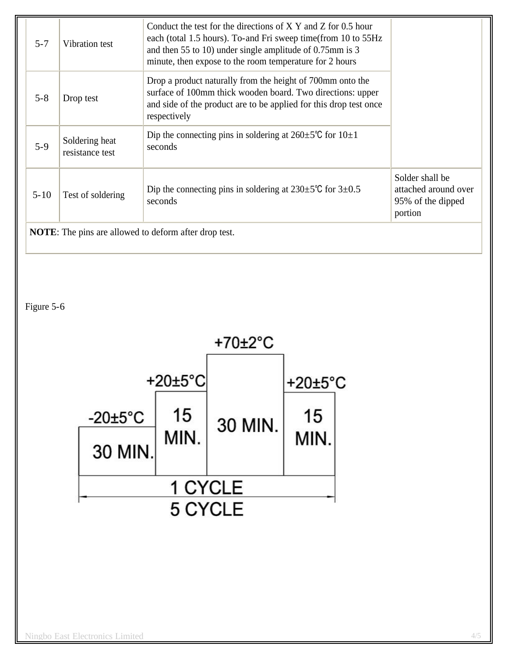| $5 - 7$                                                      | Vibration test                    | Conduct the test for the directions of $X$ Y and Z for 0.5 hour<br>each (total 1.5 hours). To-and Fri sweep time (from 10 to 55Hz<br>and then 55 to 10) under single amplitude of 0.75mm is 3<br>minute, then expose to the room temperature for 2 hours |                                                                         |
|--------------------------------------------------------------|-----------------------------------|----------------------------------------------------------------------------------------------------------------------------------------------------------------------------------------------------------------------------------------------------------|-------------------------------------------------------------------------|
| $5 - 8$                                                      | Drop test                         | Drop a product naturally from the height of 700mm onto the<br>surface of 100mm thick wooden board. Two directions: upper<br>and side of the product are to be applied for this drop test once<br>respectively                                            |                                                                         |
| $5-9$                                                        | Soldering heat<br>resistance test | Dip the connecting pins in soldering at $260 \pm 5^{\circ}$ C for $10 \pm 1$<br>seconds                                                                                                                                                                  |                                                                         |
| $5 - 10$                                                     | Test of soldering                 | Dip the connecting pins in soldering at $230 \pm 5^{\circ}$ C for $3 \pm 0.5^{\circ}$<br>seconds                                                                                                                                                         | Solder shall be<br>attached around over<br>95% of the dipped<br>portion |
| <b>NOTE:</b> The pins are allowed to deform after drop test. |                                   |                                                                                                                                                                                                                                                          |                                                                         |

Figure 5-6